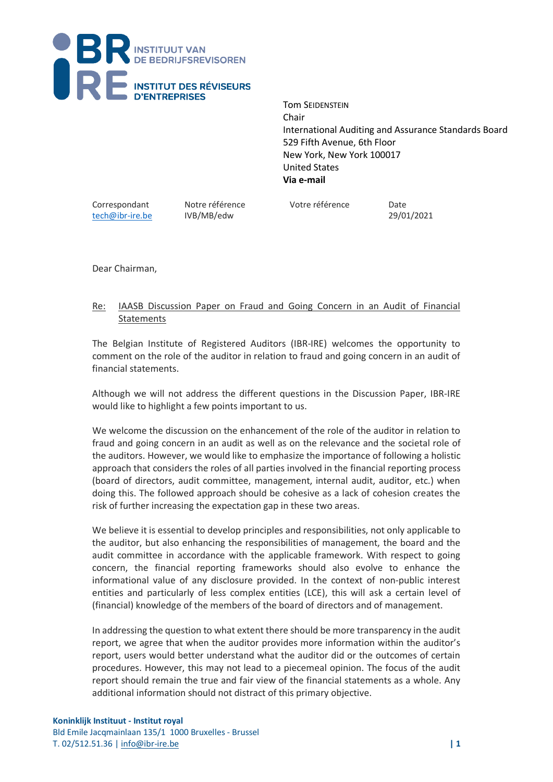

Tom SEIDENSTEIN Chair International Auditing and Assurance Standards Board 529 Fifth Avenue, 6th Floor New York, New York 100017 United States **Via e-mail**

[tech@ibr-ire.be](mailto:tech@ibr-ire.be) IVB/MB/edw 29/01/2021

Correspondant Notre référence Votre référence Date

Dear Chairman,

## Re: IAASB Discussion Paper on Fraud and Going Concern in an Audit of Financial **Statements**

The Belgian Institute of Registered Auditors (IBR-IRE) welcomes the opportunity to comment on the role of the auditor in relation to fraud and going concern in an audit of financial statements.

Although we will not address the different questions in the Discussion Paper, IBR-IRE would like to highlight a few points important to us.

We welcome the discussion on the enhancement of the role of the auditor in relation to fraud and going concern in an audit as well as on the relevance and the societal role of the auditors. However, we would like to emphasize the importance of following a holistic approach that considers the roles of all parties involved in the financial reporting process (board of directors, audit committee, management, internal audit, auditor, etc.) when doing this. The followed approach should be cohesive as a lack of cohesion creates the risk of further increasing the expectation gap in these two areas.

We believe it is essential to develop principles and responsibilities, not only applicable to the auditor, but also enhancing the responsibilities of management, the board and the audit committee in accordance with the applicable framework. With respect to going concern, the financial reporting frameworks should also evolve to enhance the informational value of any disclosure provided. In the context of non-public interest entities and particularly of less complex entities (LCE), this will ask a certain level of (financial) knowledge of the members of the board of directors and of management.

In addressing the question to what extent there should be more transparency in the audit report, we agree that when the auditor provides more information within the auditor's report, users would better understand what the auditor did or the outcomes of certain procedures. However, this may not lead to a piecemeal opinion. The focus of the audit report should remain the true and fair view of the financial statements as a whole. Any additional information should not distract of this primary objective.